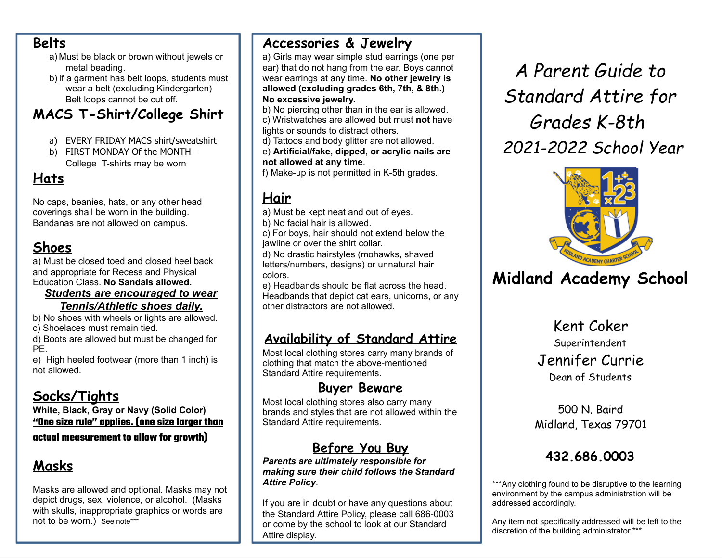### **Belts**

- a) Must be black or brown without jewels or metal beading.
- b) If a garment has belt loops, students must wear a belt (excluding Kindergarten) Belt loops cannot be cut off.

# **MACS T-Shirt/College Shirt**

- a) EVERY FRIDAY MACS shirt/sweatshirt
- b) FIRST MONDAY Of the MONTH College T-shirts may be worn

# **Hats**

No caps, beanies, hats, or any other head coverings shall be worn in the building. Bandanas are not allowed on campus.

# **Shoes**

a) Must be closed toed and closed heel back and appropriate for Recess and Physical Education Class. **No Sandals allowed.**

### *Students are encouraged to wear Tennis/Athletic shoes daily.*

b) No shoes with wheels or lights are allowed. c) Shoelaces must remain tied.

d) Boots are allowed but must be changed for PE.

e) High heeled footwear (more than 1 inch) is not allowed.

# **Socks/Tights**

**White, Black, Gray or Navy (Solid Color) "One size rule" applies. (one size larger than actual measurement to allow for growth)**

# **Masks**

Masks are allowed and optional. Masks may not depict drugs, sex, violence, or alcohol. (Masks with skulls, inappropriate graphics or words are not to be worn.) See note\*\*\*

# **Accessories & Jewelry**

a) Girls may wear simple stud earrings (one per ear) that do not hang from the ear. Boys cannot wear earrings at any time. **No other jewelry is allowed (excluding grades 6th, 7th, & 8th.) No excessive jewelry.**

- b) No piercing other than in the ear is allowed. c) Wristwatches are allowed but must **not** have lights or sounds to distract others.
- d) Tattoos and body glitter are not allowed.

e) **Artificial/fake, dipped, or acrylic nails are not allowed at any time**.

f) Make-up is not permitted in K-5th grades.

# **Hair**

- a) Must be kept neat and out of eyes.
- b) No facial hair is allowed.

c) For boys, hair should not extend below the jawline or over the shirt collar.

d) No drastic hairstyles (mohawks, shaved letters/numbers, designs) or unnatural hair colors.

e) Headbands should be flat across the head. Headbands that depict cat ears, unicorns, or any other distractors are not allowed.

# **Availability of Standard Attire**

Most local clothing stores carry many brands of clothing that match the above-mentioned Standard Attire requirements.

## **Buyer Beware**

Most local clothing stores also carry many brands and styles that are not allowed within the Standard Attire requirements.

# **Before You Buy**

*Parents are ultimately responsible for making sure their child follows the Standard Attire Policy*.

If you are in doubt or have any questions about the Standard Attire Policy, please call 686-0003 or come by the school to look at our Standard Attire display.

*A Parent Guide to Standard Attire for Grades K-8th 2021-2022 School Year*



# **Midland Academy School**

Kent Coker Superintendent Jennifer Currie Dean of Students

500 N. Baird Midland, Texas 79701

# **432.686.0003**

\*\*\*Any clothing found to be disruptive to the learning environment by the campus administration will be addressed accordingly.

Any item not specifically addressed will be left to the discretion of the building administrator.\*\*\*